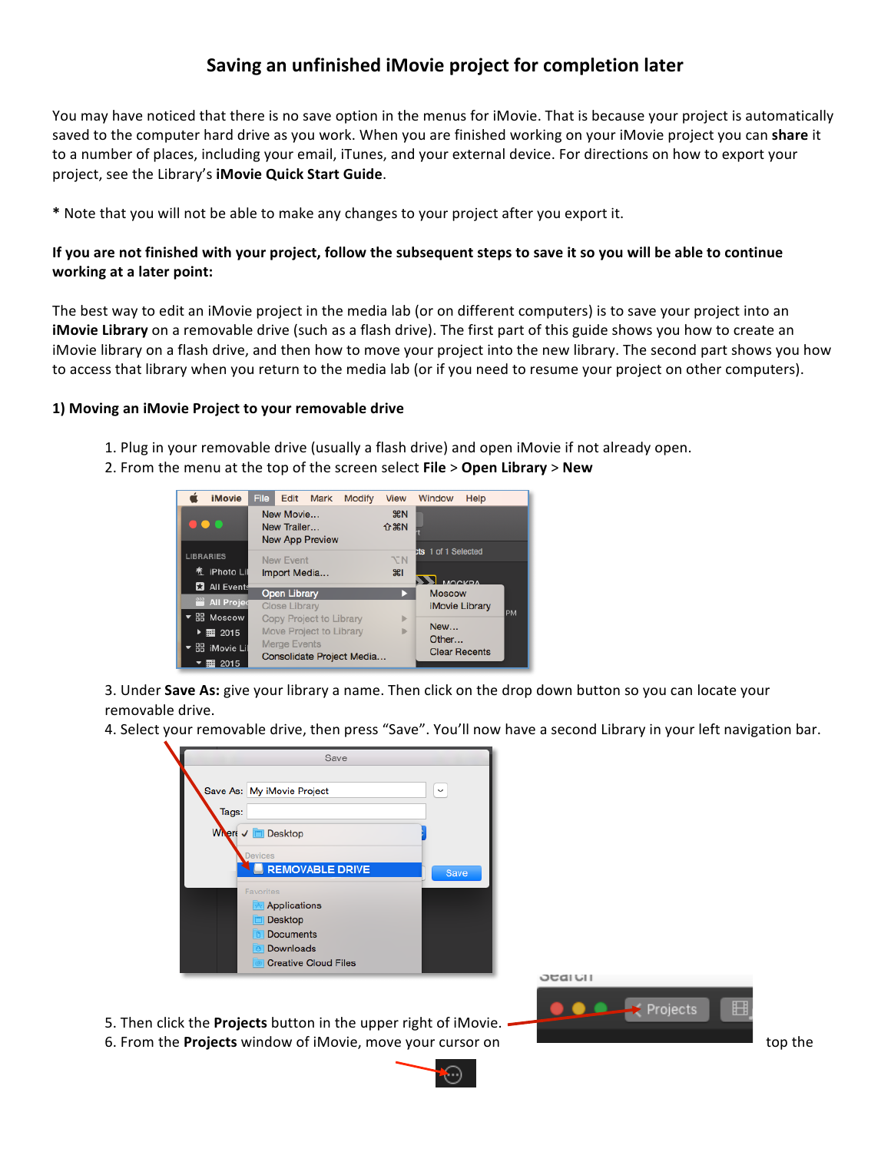## **Saving an unfinished iMovie project for completion later**

You may have noticed that there is no save option in the menus for iMovie. That is because your project is automatically saved to the computer hard drive as you work. When you are finished working on your iMovie project you can share it to a number of places, including your email, iTunes, and your external device. For directions on how to export your project, see the Library's **iMovie Quick Start Guide**.

\* Note that you will not be able to make any changes to your project after you export it.

## **If you are not finished with your project, follow the subsequent steps to save it so you will be able to continue working at a later point:**

The best way to edit an iMovie project in the media lab (or on different computers) is to save your project into an **iMovie Library** on a removable drive (such as a flash drive). The first part of this guide shows you how to create an iMovie library on a flash drive, and then how to move your project into the new library. The second part shows you how to access that library when you return to the media lab (or if you need to resume your project on other computers).

## 1) Moving an iMovie Project to your removable drive

- 1. Plug in your removable drive (usually a flash drive) and open iMovie if not already open.
- 2. From the menu at the top of the screen select **File** > Open Library > New



3. Under **Save As:** give your library a name. Then click on the drop down button so you can locate your removable drive.

4. Select your removable drive, then press "Save". You'll now have a second Library in your left navigation bar.

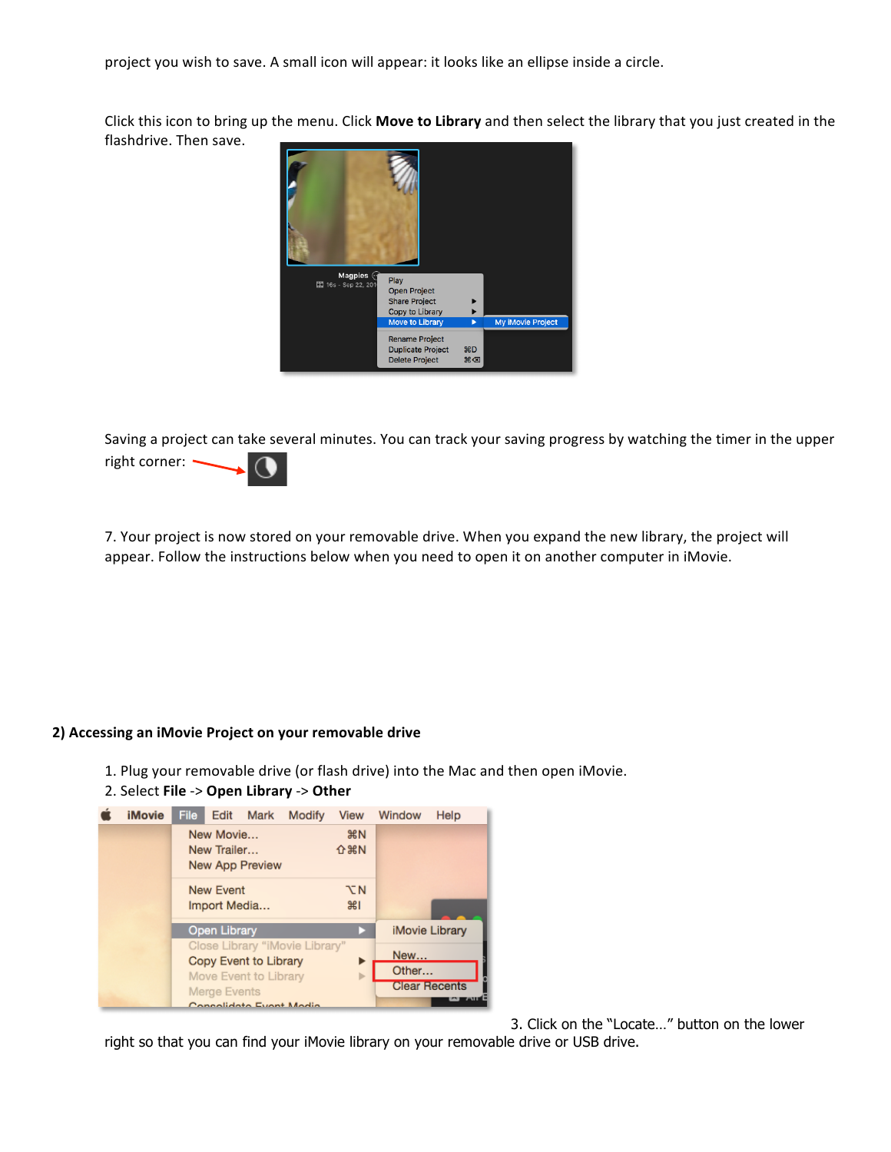project you wish to save. A small icon will appear: it looks like an ellipse inside a circle.

Click this icon to bring up the menu. Click Move to Library and then select the library that you just created in the flashdrive. Then save.



Saving a project can take several minutes. You can track your saving progress by watching the timer in the upper right corner: -



7. Your project is now stored on your removable drive. When you expand the new library, the project will appear. Follow the instructions below when you need to open it on another computer in iMovie.

## 2) Accessing an iMovie Project on your removable drive

- 1. Plug your removable drive (or flash drive) into the Mac and then open iMovie.
- 2. Select **File** -> **Open Library** -> **Other**



3. Click on the "Locate…" button on the lower

right so that you can find your iMovie library on your removable drive or USB drive.